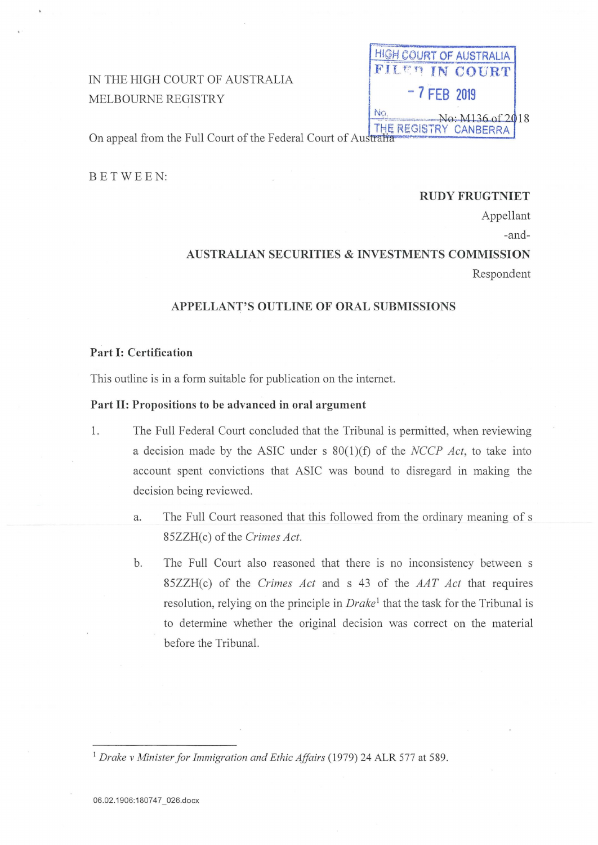# IN THE HIGH COURT OF AUSTRALIA MELBOURNE REGISTRY

|                | GH COURT OF AUSTRALIA  |  |
|----------------|------------------------|--|
|                | <b>FILER IN COURT</b>  |  |
| $-7$ FEB 2019  |                        |  |
|                | $-$ No: $M136$ of 2018 |  |
| $E = D \vee D$ | NDEDOA                 |  |

On appeal from the Full Court of the Federal Court of Australia

BETWEEN:

## **RUDY FRUGTNIET**

Appellant

-and-

## **AUSTRALIAN SECURITIES & INVESTMENTS COMMISSION**

Respondent

## APPELLANT'S OUTLINE OF ORAL SUBMISSIONS

## Part I: Certification

This outline is in a form suitable for publication on the internet.

## Part II: Propositions to be advanced in oral argument

- 1. The Full Federal Court concluded that the Tribunal is permitted, when reviewing a decision made by the ASIC under s  $80(1)(f)$  of the *NCCP Act*, to take into account spent convictions that ASIC was bound to disregard in making the decision being reviewed.
	- The Full Court reasoned that this followed from the ordinary meaning of s a. 85ZZH(c) of the Crimes Act.
	- The Full Court also reasoned that there is no inconsistency between s b. 85ZZH(c) of the Crimes Act and s 43 of the AAT Act that requires resolution, relying on the principle in Drake<sup>1</sup> that the task for the Tribunal is to determine whether the original decision was correct on the material before the Tribunal.

<sup>1</sup> Drake v Minister for Immigration and Ethic Affairs (1979) 24 ALR 577 at 589.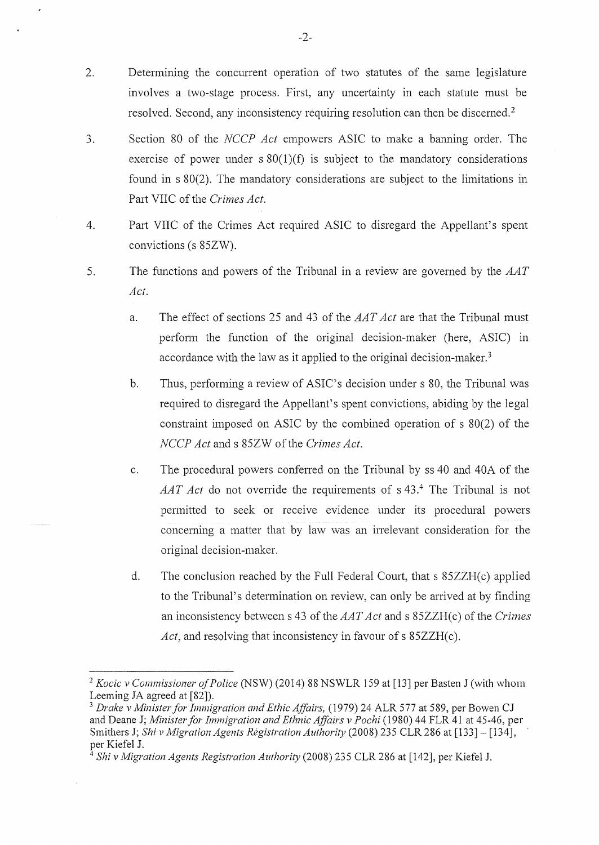- 2. Determining the concurrent operation of two statutes of the same legislature involves a two-stage process. First, any uncertainty in each statute must be resolved. Second, any inconsistency requiring resolution can then be discerned. <sup>2</sup>
- 3. Section 80 of the *NCCP Act* empowers ASIC to make a banning order. The exercise of power under  $s \, 80(1)(f)$  is subject to the mandatory considerations found in s 80(2). The mandatory considerations are subject to the limitations in Part VIIC of the *Crimes Act.*
- 4. Part VIIC of the Crimes Act required ASIC to disregard the Appellant's spent convictions (s 85ZW).
- 5. The functions and powers of the Tribunal in a review are governed by the *AAT Act.* 
	- a. The effect of sections 25 and 43 of the *AAT Act* are that the Tribunal must perform the function of the original decision-maker (here, ASIC) in accordance with the law as it applied to the original decision-maker. <sup>3</sup>
	- b. Thus, performing a review of ASIC's decision under s 80, the Tribunal was required to disregard the Appellant's spent convictions, abiding by the legal constraint imposed on ASIC by the combined operation of s 80(2) of the *NCCP Act* and s 85ZW of the *Crimes Act*.
	- c. The procedural powers conferred on the Tribunal by ss 40 and 40A of the *AAT Act* do not override the requirements of s 43.4 The Tribunal is not permitted to seek or receive evidence under its procedural powers concerning a matter that by law was an irrelevant consideration for the original decision-maker.
	- d. The conclusion reached by the Full Federal Court, that s 85ZZH(c) applied to the Tribunal's determination on review, can only be arrived at by finding an inconsistency between s 43 *oftheAAT Act* and s 85ZZH(c) of the *Crimes Act*, and resolving that inconsistency in favour of s 85ZZH(c).

*<sup>2</sup> Kocic v Commissioner of Police* (NSW) (2014) 88 NSWLR 159 at [13] per Basten J (with whom Leeming JA agreed at [82]).

<sup>3</sup>*Drake v Minister for Immigration and Ethic Affairs,* ( 1979) 24 ALR 577 at 589, per Bowen CJ and Deane J; *Minister for Immigration and Ethnic Affairs v Pochi* (1980) 44 FLR 41 at 45-46, per Smithers J; *Shiv Migration Agents Registration Authority* (2008) 235 CLR 286 at [133]- [134], per Kiefel J.

<sup>4</sup>*Shiv Migration Agents Registration Authority* (2008) 235 CLR 286 at [142], per Kiefel J.